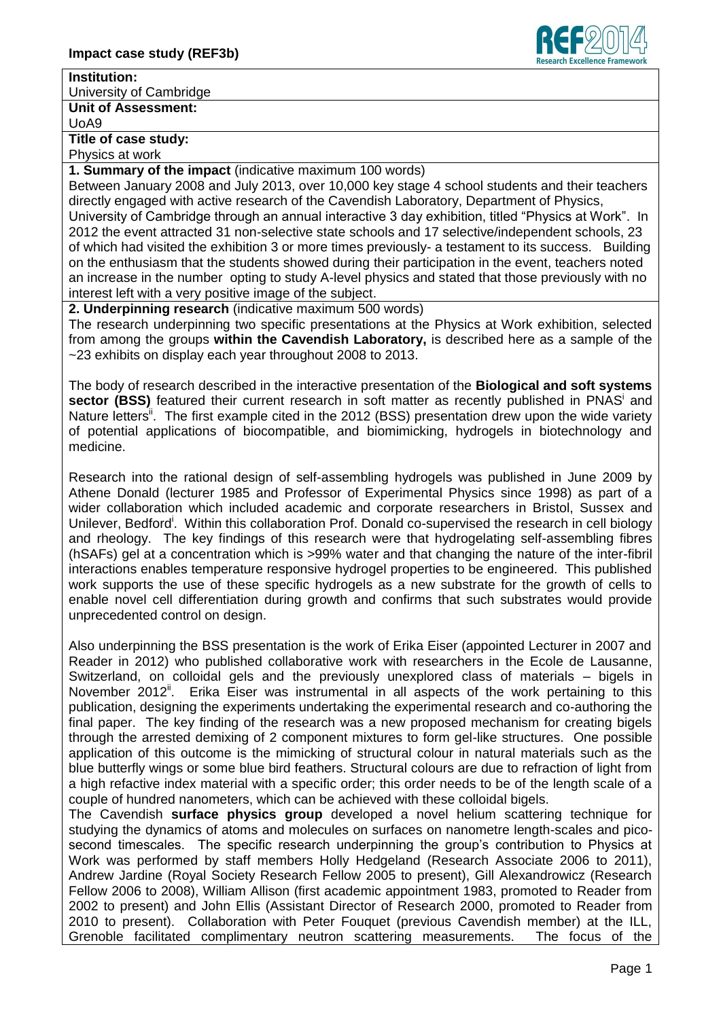

## **Institution:**

University of Cambridge

# **Unit of Assessment:**

UoA9

## **Title of case study:**

Physics at work

### **1. Summary of the impact** (indicative maximum 100 words)

Between January 2008 and July 2013, over 10,000 key stage 4 school students and their teachers directly engaged with active research of the Cavendish Laboratory, Department of Physics, University of Cambridge through an annual interactive 3 day exhibition, titled "Physics at Work". In 2012 the event attracted 31 non-selective state schools and 17 selective/independent schools, 23 of which had visited the exhibition 3 or more times previously- a testament to its success. Building on the enthusiasm that the students showed during their participation in the event, teachers noted an increase in the number opting to study A-level physics and stated that those previously with no interest left with a very positive image of the subject.

**2. Underpinning research** (indicative maximum 500 words)

The research underpinning two specific presentations at the Physics at Work exhibition, selected from among the groups **within the Cavendish Laboratory,** is described here as a sample of the ~23 exhibits on display each year throughout 2008 to 2013.

The body of research described in the interactive presentation of the **Biological and soft systems**  sector (BSS) featured their current research in soft matter as recently published in PNAS<sup>i</sup> and Nature letters<sup>i</sup>. The first example cited in the 2012 (BSS) presentation drew upon the wide variety of potential applications of biocompatible, and biomimicking, hydrogels in biotechnology and medicine.

Research into the rational design of self-assembling hydrogels was published in June 2009 by Athene Donald (lecturer 1985 and Professor of Experimental Physics since 1998) as part of a wider collaboration which included academic and corporate researchers in Bristol, Sussex and Unilever, Bedford<sup>i</sup>. Within this collaboration Prof. Donald co-supervised the research in cell biology and rheology. The key findings of this research were that hydrogelating self-assembling fibres (hSAFs) gel at a concentration which is >99% water and that changing the nature of the inter-fibril interactions enables temperature responsive hydrogel properties to be engineered. This published work supports the use of these specific hydrogels as a new substrate for the growth of cells to enable novel cell differentiation during growth and confirms that such substrates would provide unprecedented control on design.

Also underpinning the BSS presentation is the work of Erika Eiser (appointed Lecturer in 2007 and Reader in 2012) who published collaborative work with researchers in the Ecole de Lausanne, Switzerland, on colloidal gels and the previously unexplored class of materials – bigels in November 2012<sup>ii</sup>. Erika Eiser was instrumental in all aspects of the work pertaining to this publication, designing the experiments undertaking the experimental research and co-authoring the final paper. The key finding of the research was a new proposed mechanism for creating bigels through the arrested demixing of 2 component mixtures to form gel-like structures. One possible application of this outcome is the mimicking of structural colour in natural materials such as the blue butterfly wings or some blue bird feathers. Structural colours are due to refraction of light from a high refactive index material with a specific order; this order needs to be of the length scale of a couple of hundred nanometers, which can be achieved with these colloidal bigels.

The Cavendish **surface physics group** developed a novel helium scattering technique for studying the dynamics of atoms and molecules on surfaces on nanometre length-scales and picosecond timescales. The specific research underpinning the group's contribution to Physics at Work was performed by staff members Holly Hedgeland (Research Associate 2006 to 2011), Andrew Jardine (Royal Society Research Fellow 2005 to present), Gill Alexandrowicz (Research Fellow 2006 to 2008), William Allison (first academic appointment 1983, promoted to Reader from 2002 to present) and John Ellis (Assistant Director of Research 2000, promoted to Reader from 2010 to present). Collaboration with Peter Fouquet (previous Cavendish member) at the ILL, Grenoble facilitated complimentary neutron scattering measurements. The focus of the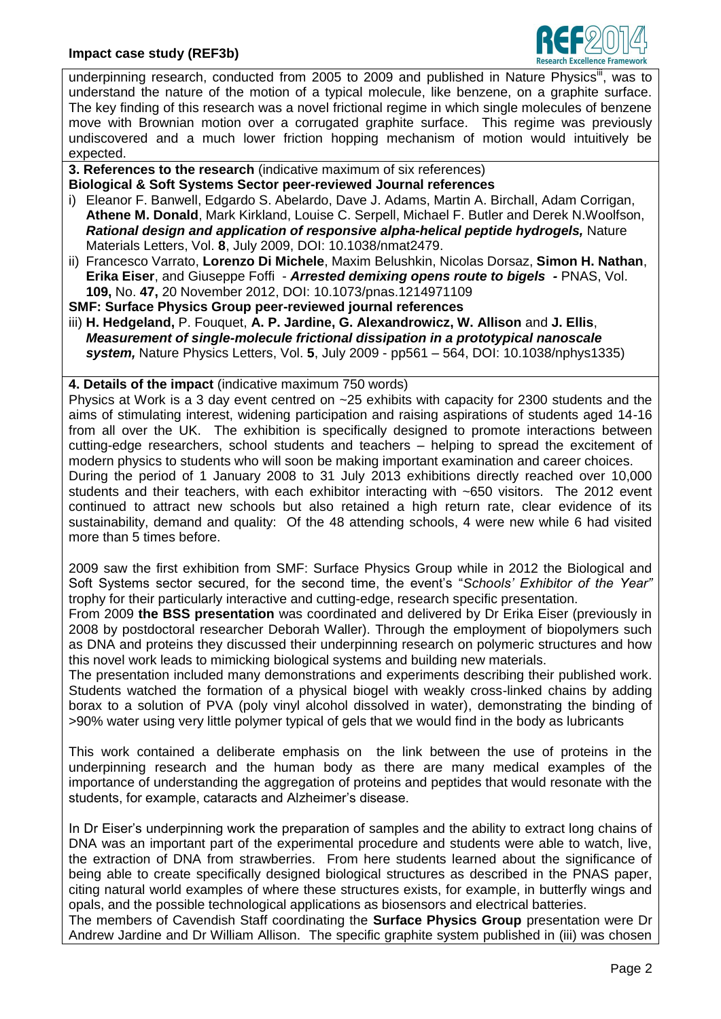

underpinning research, conducted from 2005 to 2009 and published in Nature Physics<sup>iii</sup>, was to understand the nature of the motion of a typical molecule, like benzene, on a graphite surface. The key finding of this research was a novel frictional regime in which single molecules of benzene move with Brownian motion over a corrugated graphite surface. This regime was previously undiscovered and a much lower friction hopping mechanism of motion would intuitively be expected.

**3. References to the research** (indicative maximum of six references)

- **Biological & Soft Systems Sector peer-reviewed Journal references** i) Eleanor F. Banwell, Edgardo S. Abelardo, Dave J. Adams, Martin A. Birchall, Adam Corrigan, **Athene M. Donald**, Mark Kirkland, Louise C. Serpell, Michael F. Butler and Derek N.Woolfson, *Rational design and application of responsive alpha-helical peptide hydrogels,* Nature Materials Letters, Vol. **8**, July 2009, DOI: 10.1038/nmat2479.
- ii) [Francesco Varrato,](http://www.pnas.org/search?author1=Francesco+Varrato&sortspec=date&submit=Submit) **[Lorenzo Di Michele](http://www.pnas.org/search?author1=Lorenzo+Di+Michele&sortspec=date&submit=Submit)**, [Maxim Belushkin,](http://www.pnas.org/search?author1=Maxim+Belushkin&sortspec=date&submit=Submit) [Nicolas Dorsaz,](http://www.pnas.org/search?author1=Nicolas+Dorsaz&sortspec=date&submit=Submit) **[Simon H. Nathan](http://www.pnas.org/search?author1=Simon+H.+Nathan&sortspec=date&submit=Submit)**, **[Erika Eiser](http://www.pnas.org/search?author1=Erika+Eiser&sortspec=date&submit=Submit)**, and [Giuseppe Foffi](http://www.pnas.org/search?author1=Giuseppe+Foffi&sortspec=date&submit=Submit) - *Arrested demixing opens route to bigels -* PNAS, Vol. **109,** No. **47,** 20 November 2012, DOI: 10.1073/pnas.1214971109

**SMF: Surface Physics Group peer-reviewed journal references**

iii) **H. Hedgeland,** P. Fouquet, **A. P. Jardine, G. Alexandrowicz, W. Allison** and **J. Ellis**, *Measurement of single-molecule frictional dissipation in a prototypical nanoscale system,* Nature Physics Letters, Vol. **5**, July 2009 - pp561 – 564, DOI: 10.1038/nphys1335)

**4. Details of the impact** (indicative maximum 750 words)

Physics at Work is a 3 day event centred on ~25 exhibits with capacity for 2300 students and the aims of stimulating interest, widening participation and raising aspirations of students aged 14-16 from all over the UK. The exhibition is specifically designed to promote interactions between cutting-edge researchers, school students and teachers – helping to spread the excitement of modern physics to students who will soon be making important examination and career choices.

During the period of 1 January 2008 to 31 July 2013 exhibitions directly reached over 10,000 students and their teachers, with each exhibitor interacting with ~650 visitors. The 2012 event continued to attract new schools but also retained a high return rate, clear evidence of its sustainability, demand and quality: Of the 48 attending schools, 4 were new while 6 had visited more than 5 times before.

2009 saw the first exhibition from SMF: Surface Physics Group while in 2012 the Biological and Soft Systems sector secured, for the second time, the event's "*Schools' Exhibitor of the Year"*  trophy for their particularly interactive and cutting-edge, research specific presentation.

From 2009 **the BSS presentation** was coordinated and delivered by Dr Erika Eiser (previously in 2008 by postdoctoral researcher Deborah Waller). Through the employment of biopolymers such as DNA and proteins they discussed their underpinning research on polymeric structures and how this novel work leads to mimicking biological systems and building new materials.

The presentation included many demonstrations and experiments describing their published work. Students watched the formation of a physical biogel with weakly cross-linked chains by adding borax to a solution of PVA (poly vinyl alcohol dissolved in water), demonstrating the binding of >90% water using very little polymer typical of gels that we would find in the body as lubricants

This work contained a deliberate emphasis on the link between the use of proteins in the underpinning research and the human body as there are many medical examples of the importance of understanding the aggregation of proteins and peptides that would resonate with the students, for example, cataracts and Alzheimer's disease.

In Dr Eiser's underpinning work the preparation of samples and the ability to extract long chains of DNA was an important part of the experimental procedure and students were able to watch, live, the extraction of DNA from strawberries. From here students learned about the significance of being able to create specifically designed biological structures as described in the PNAS paper, citing natural world examples of where these structures exists, for example, in butterfly wings and opals, and the possible technological applications as biosensors and electrical batteries.

The members of Cavendish Staff coordinating the **Surface Physics Group** presentation were Dr Andrew Jardine and Dr William Allison. The specific graphite system published in (iii) was chosen